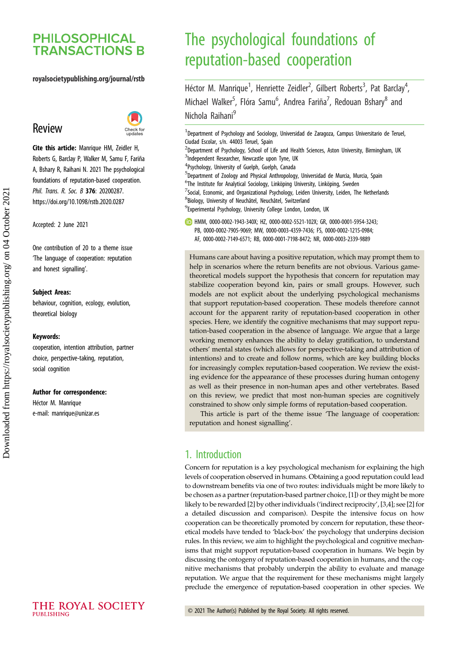# **PHILOSOPHICAL TRANSACTIONS B**

#### royalsocietypublishing.org/journal/rstb

## Review



Cite this article: Manrique HM, Zeidler H, Roberts G, Barclay P, Walker M, Samu F, Fariña A, Bshary R, Raihani N. 2021 The psychological foundations of reputation-based cooperation. Phil. Trans. R. Soc. B 376: 20200287. https://doi.org/10.1098/rstb.2020.0287

Accepted: 2 June 2021

One contribution of 20 to a theme issue '[The language of cooperation: reputation](http://dx.doi.org/10.1098/rstb/376/1838) [and honest signalling](http://dx.doi.org/10.1098/rstb/376/1838)'.

#### Subject Areas:

behaviour, cognition, ecology, evolution, theoretical biology

#### Keywords:

cooperation, intention attribution, partner choice, perspective-taking, reputation, social cognition

#### Author for correspondence:

Héctor M. Manrique e-mail: [manrique@unizar.es](mailto:manrique@unizar.es)

# The psychological foundations of reputation-based cooperation

Héctor M. Manrique<sup>1</sup>, Henriette Zeidler<sup>2</sup>, Gilbert Roberts<sup>3</sup>, Pat Barclay<sup>4</sup> .<br>, Michael Walker<sup>5</sup>, Flóra Samu<sup>6</sup>, Andrea Fariña<sup>7</sup>, Redouan Bshary<sup>8</sup> and Nichola Raihani<sup>9</sup>

<sup>1</sup>Department of Psychology and Sociology, Universidad de Zaragoza, Campus Universitario de Teruel, Ciudad Escolar, s/n. 44003 Teruel, Spain

- <sup>2</sup>Department of Psychology, School of Life and Health Sciences, Aston University, Birmingham, UK <sup>3</sup>Independent Researcher, Newcastle upon Tyne, UK
- 4 Psychology, University of Guelph, Guelph, Canada

5 Department of Zoology and Physical Anthropology, Universidad de Murcia, Murcia, Spain

- <sup>6</sup>The Institute for Analytical Sociology, Linköping University, Linköping, Sweden
- $^7$ Social, Economic, and Organizational Psychology, Leiden University, Leiden, The Netherlands
- 8 Biology, University of Neuchâtel, Neuchâtel, Switzerland

<sup>9</sup> Experimental Psychology, University College London, London, UK

HMM, [0000-0002-1943-340X](http://orcid.org/0000-0002-1943-340X); HZ, [0000-0002-5521-102X](http://orcid.org/0000-0002-5521-102X); GR, [0000-0001-5954-3243;](http://orcid.org/0000-0001-5954-3243)

- PB, [0000-0002-7905-9069;](http://orcid.org/0000-0002-7905-9069) MW, [0000-0003-4359-7436](http://orcid.org/0000-0003-4359-7436); FS, [0000-0002-1215-0984;](http://orcid.org/0000-0002-1215-0984)
- AF, [0000-0002-7149-6571;](http://orcid.org/0000-0002-7149-6571) RB, [0000-0001-7198-8472;](http://orcid.org/0000-0001-7198-8472) NR, [0000-0003-2339-9889](http://orcid.org/0000-0003-2339-9889)

Humans care about having a positive reputation, which may prompt them to help in scenarios where the return benefits are not obvious. Various gametheoretical models support the hypothesis that concern for reputation may stabilize cooperation beyond kin, pairs or small groups. However, such models are not explicit about the underlying psychological mechanisms that support reputation-based cooperation. These models therefore cannot account for the apparent rarity of reputation-based cooperation in other species. Here, we identify the cognitive mechanisms that may support reputation-based cooperation in the absence of language. We argue that a large working memory enhances the ability to delay gratification, to understand others' mental states (which allows for perspective-taking and attribution of intentions) and to create and follow norms, which are key building blocks for increasingly complex reputation-based cooperation. We review the existing evidence for the appearance of these processes during human ontogeny as well as their presence in non-human apes and other vertebrates. Based on this review, we predict that most non-human species are cognitively constrained to show only simple forms of reputation-based cooperation.

This article is part of the theme issue 'The language of cooperation: reputation and honest signalling'.

## 1. Introduction

Concern for reputation is a key psychological mechanism for explaining the high levels of cooperation observed in humans. Obtaining a good reputation could lead to downstream benefits via one of two routes: individuals might be more likely to be chosen as a partner (reputation-based partner choice, [\[1](#page-7-0)]) or they might be more likely to be rewarded [\[2\]](#page-7-0) by other individuals ('indirect reciprocity', [[3,4\]](#page-7-0); see [[2](#page-7-0)] for a detailed discussion and comparison). Despite the intensive focus on how cooperation can be theoretically promoted by concern for reputation, these theoretical models have tended to 'black-box' the psychology that underpins decision rules. In this review, we aim to highlight the psychological and cognitive mechanisms that might support reputation-based cooperation in humans. We begin by discussing the ontogeny of reputation-based cooperation in humans, and the cognitive mechanisms that probably underpin the ability to evaluate and manage reputation. We argue that the requirement for these mechanisms might largely preclude the emergence of reputation-based cooperation in other species. We

THE ROYAL SOCIETY PURLISHING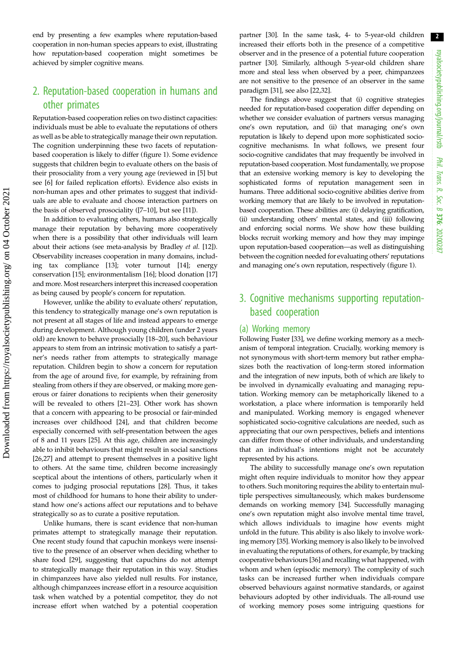2 royalsocietypublishing.org/journal/rstb royalsocietypublishing.org/journal/rstb Phil. Trans. R. Soc. $\sigma$ 376: 20200287

end by presenting a few examples where reputation-based cooperation in non-human species appears to exist, illustrating how reputation-based cooperation might sometimes be achieved by simpler cognitive means.

## 2. Reputation-based cooperation in humans and other primates

Reputation-based cooperation relies on two distinct capacities: individuals must be able to evaluate the reputations of others as well as be able to strategically manage their own reputation. The cognition underpinning these two facets of reputationbased cooperation is likely to differ [\(figure 1](#page-2-0)). Some evidence suggests that children begin to evaluate others on the basis of their prosociality from a very young age (reviewed in [\[5\]](#page-7-0) but see [\[6\]](#page-7-0) for failed replication efforts). Evidence also exists in non-human apes and other primates to suggest that individuals are able to evaluate and choose interaction partners on the basis of observed prosociality ([\[7](#page-7-0)–[10](#page-7-0)], but see [\[11\]](#page-7-0)).

In addition to evaluating others, humans also strategically manage their reputation by behaving more cooperatively when there is a possibility that other individuals will learn about their actions (see meta-analysis by Bradley et al. [[12\]](#page-8-0)). Observability increases cooperation in many domains, including tax compliance [[13](#page-8-0)]; voter turnout [\[14\]](#page-8-0); energy conservation [\[15](#page-8-0)]; environmentalism [[16\]](#page-8-0); blood donation [[17\]](#page-8-0) and more. Most researchers interpret this increased cooperation as being caused by people's concern for reputation.

However, unlike the ability to evaluate others' reputation, this tendency to strategically manage one's own reputation is not present at all stages of life and instead appears to emerge during development. Although young children (under 2 years old) are known to behave prosocially [\[18](#page-8-0)–[20\]](#page-8-0), such behaviour appears to stem from an intrinsic motivation to satisfy a partner's needs rather from attempts to strategically manage reputation. Children begin to show a concern for reputation from the age of around five, for example, by refraining from stealing from others if they are observed, or making more generous or fairer donations to recipients when their generosity will be revealed to others [[21](#page-8-0)–[23](#page-8-0)]. Other work has shown that a concern with appearing to be prosocial or fair-minded increases over childhood [\[24](#page-8-0)], and that children become especially concerned with self-presentation between the ages of 8 and 11 years [\[25](#page-8-0)]. At this age, children are increasingly able to inhibit behaviours that might result in social sanctions [\[26](#page-8-0),[27\]](#page-8-0) and attempt to present themselves in a positive light to others. At the same time, children become increasingly sceptical about the intentions of others, particularly when it comes to judging prosocial reputations [\[28](#page-8-0)]. Thus, it takes most of childhood for humans to hone their ability to understand how one's actions affect our reputations and to behave strategically so as to curate a positive reputation.

Unlike humans, there is scant evidence that non-human primates attempt to strategically manage their reputation. One recent study found that capuchin monkeys were insensitive to the presence of an observer when deciding whether to share food [\[29\]](#page-8-0), suggesting that capuchins do not attempt to strategically manage their reputation in this way. Studies in chimpanzees have also yielded null results. For instance, although chimpanzees increase effort in a resource acquisition task when watched by a potential competitor, they do not increase effort when watched by a potential cooperation

partner [\[30](#page-8-0)]. In the same task, 4- to 5-year-old children increased their efforts both in the presence of a competitive observer and in the presence of a potential future cooperation partner [[30\]](#page-8-0). Similarly, although 5-year-old children share more and steal less when observed by a peer, chimpanzees are not sensitive to the presence of an observer in the same paradigm [\[31](#page-8-0)], see also [\[22,32](#page-8-0)].

The findings above suggest that (i) cognitive strategies needed for reputation-based cooperation differ depending on whether we consider evaluation of partners versus managing one's own reputation, and (ii) that managing one's own reputation is likely to depend upon more sophisticated sociocognitive mechanisms. In what follows, we present four socio-cognitive candidates that may frequently be involved in reputation-based cooperation. Most fundamentally, we propose that an extensive working memory is key to developing the sophisticated forms of reputation management seen in humans. Three additional socio-cognitive abilities derive from working memory that are likely to be involved in reputationbased cooperation. These abilities are: (i) delaying gratification, (ii) understanding others' mental states, and (iii) following and enforcing social norms. We show how these building blocks recruit working memory and how they may impinge upon reputation-based cooperation—as well as distinguishing between the cognition needed for evaluating others' reputations and managing one's own reputation, respectively [\(figure 1\)](#page-2-0).

## 3. Cognitive mechanisms supporting reputationbased cooperation

#### (a) Working memory

Following Fuster [[33\]](#page-8-0), we define working memory as a mechanism of temporal integration. Crucially, working memory is not synonymous with short-term memory but rather emphasizes both the reactivation of long-term stored information and the integration of new inputs, both of which are likely to be involved in dynamically evaluating and managing reputation. Working memory can be metaphorically likened to a workstation, a place where information is temporarily held and manipulated. Working memory is engaged whenever sophisticated socio-cognitive calculations are needed, such as appreciating that our own perspectives, beliefs and intentions can differ from those of other individuals, and understanding that an individual's intentions might not be accurately represented by his actions.

The ability to successfully manage one's own reputation might often require individuals to monitor how they appear to others. Such monitoring requires the ability to entertain multiple perspectives simultaneously, which makes burdensome demands on working memory [[34\]](#page-8-0). Successfully managing one's own reputation might also involve mental time travel, which allows individuals to imagine how events might unfold in the future. This ability is also likely to involve working memory [[35\]](#page-8-0). Working memory is also likely to be involved in evaluating the reputations of others, for example, by tracking cooperative behaviours [[36\]](#page-8-0) and recalling what happened, with whom and when (episodic memory). The complexity of such tasks can be increased further when individuals compare observed behaviours against normative standards, or against behaviours adopted by other individuals. The all-round use of working memory poses some intriguing questions for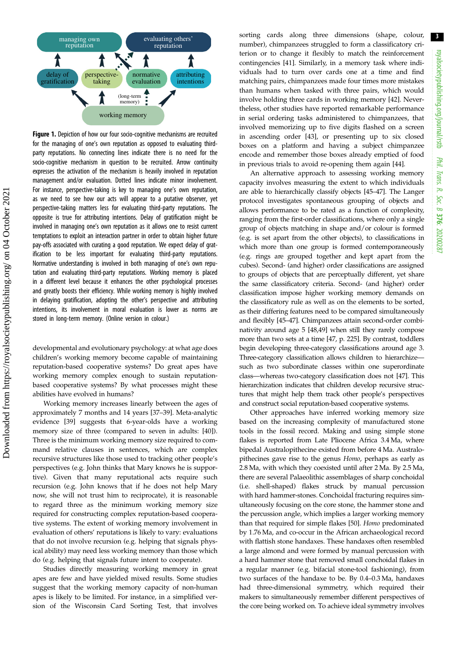<span id="page-2-0"></span>

Figure 1. Depiction of how our four socio-cognitive mechanisms are recruited for the managing of one's own reputation as opposed to evaluating thirdparty reputations. No connecting lines indicate there is no need for the socio-cognitive mechanism in question to be recruited. Arrow continuity expresses the activation of the mechanism is heavily involved in reputation management and/or evaluation. Dotted lines indicate minor involvement. For instance, perspective-taking is key to managing one's own reputation, as we need to see how our acts will appear to a putative observer, yet perspective-taking matters less for evaluating third-party reputations. The opposite is true for attributing intentions. Delay of gratification might be involved in managing one's own reputation as it allows one to resist current temptations to exploit an interaction partner in order to obtain higher future pay-offs associated with curating a good reputation. We expect delay of gratification to be less important for evaluating third-party reputations. Normative understanding is involved in both managing of one's own reputation and evaluating third-party reputations. Working memory is placed in a different level because it enhances the other psychological processes and greatly boosts their efficiency. While working memory is highly involved in delaying gratification, adopting the other's perspective and attributing intentions, its involvement in moral evaluation is lower as norms are stored in long-term memory. (Online version in colour.)

developmental and evolutionary psychology: at what age does children's working memory become capable of maintaining reputation-based cooperative systems? Do great apes have working memory complex enough to sustain reputationbased cooperative systems? By what processes might these abilities have evolved in humans?

Working memory increases linearly between the ages of approximately 7 months and 14 years [\[37](#page-8-0)–[39](#page-8-0)]. Meta-analytic evidence [\[39](#page-8-0)] suggests that 6-year-olds have a working memory size of three (compared to seven in adults: [\[40](#page-8-0)]). Three is the minimum working memory size required to command relative clauses in sentences, which are complex recursive structures like those used to tracking other people's perspectives (e.g. John thinks that Mary knows he is supportive). Given that many reputational acts require such recursion (e.g. John knows that if he does not help Mary now, she will not trust him to reciprocate), it is reasonable to regard three as the minimum working memory size required for constructing complex reputation-based cooperative systems. The extent of working memory involvement in evaluation of others' reputations is likely to vary: evaluations that do not involve recursion (e.g. helping that signals physical ability) may need less working memory than those which do (e.g. helping that signals future intent to cooperate).

Studies directly measuring working memory in great apes are few and have yielded mixed results. Some studies suggest that the working memory capacity of non-human apes is likely to be limited. For instance, in a simplified version of the Wisconsin Card Sorting Test, that involves sorting cards along three dimensions (shape, colour, number), chimpanzees struggled to form a classificatory criterion or to change it flexibly to match the reinforcement contingencies [[41\]](#page-8-0). Similarly, in a memory task where individuals had to turn over cards one at a time and find matching pairs, chimpanzees made four times more mistakes than humans when tasked with three pairs, which would involve holding three cards in working memory [[42\]](#page-8-0). Nevertheless, other studies have reported remarkable performance in serial ordering tasks administered to chimpanzees, that involved memorizing up to five digits flashed on a screen in ascending order [[43\]](#page-8-0), or presenting up to six closed boxes on a platform and having a subject chimpanzee encode and remember those boxes already emptied of food in previous trials to avoid re-opening them again [\[44](#page-8-0)].

An alternative approach to assessing working memory capacity involves measuring the extent to which individuals are able to hierarchically classify objects [[45](#page-8-0)–[47\]](#page-8-0). The Langer protocol investigates spontaneous grouping of objects and allows performance to be rated as a function of complexity, ranging from the first-order classifications, where only a single group of objects matching in shape and/or colour is formed (e.g. is set apart from the other objects), to classifications in which more than one group is formed contemporaneously (e.g. rings are grouped together and kept apart from the cubes). Second- (and higher) order classifications are assigned to groups of objects that are perceptually different, yet share the same classificatory criteria. Second- (and higher) order classification impose higher working memory demands on the classificatory rule as well as on the elements to be sorted, as their differing features need to be compared simultaneously and flexibly [\[45](#page-8-0)–[47](#page-8-0)]. Chimpanzees attain second-order combinativity around age 5 [\[48,49\]](#page-8-0) when still they rarely compose more than two sets at a time [\[47](#page-8-0), p. 225]. By contrast, toddlers begin developing three-category classifications around age 3. Three-category classification allows children to hierarchize such as two subordinate classes within one superordinate class—whereas two-category classification does not [\[47](#page-8-0)]. This hierarchization indicates that children develop recursive structures that might help them track other people's perspectives and construct social reputation-based cooperative systems.

Other approaches have inferred working memory size based on the increasing complexity of manufactured stone tools in the fossil record. Making and using simple stone flakes is reported from Late Pliocene Africa 3.4 Ma, where bipedal Australopithecine existed from before 4 Ma. Australopithecines gave rise to the genus Homo, perhaps as early as 2.8 Ma, with which they coexisted until after 2 Ma. By 2.5 Ma, there are several Palaeolithic assemblages of sharp conchoidal (i.e. shell-shaped) flakes struck by manual percussion with hard hammer-stones. Conchoidal fracturing requires simultaneously focusing on the core stone, the hammer stone and the percussion angle, which implies a larger working memory than that required for simple flakes [[50\]](#page-8-0). Homo predominated by 1.76 Ma, and co-occur in the African archaeological record with flattish stone handaxes. These handaxes often resembled a large almond and were formed by manual percussion with a hard hammer stone that removed small conchoidal flakes in a regular manner (e.g. bifacial stone-tool fashioning), from two surfaces of the handaxe to be. By 0.4–0.3 Ma, handaxes had three-dimensional symmetry, which required their makers to simultaneously remember different perspectives of the core being worked on. To achieve ideal symmetry involves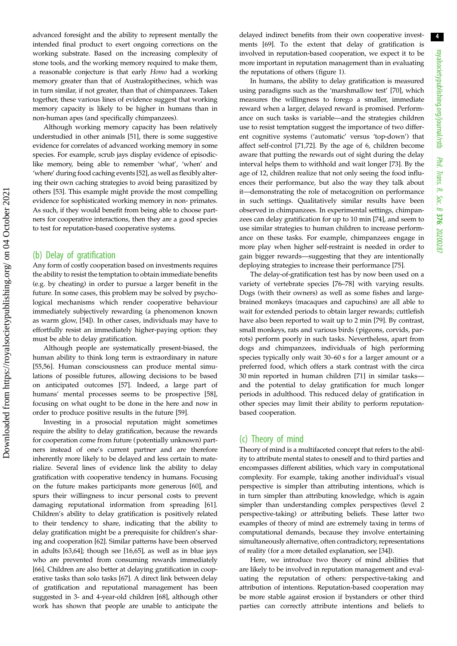advanced foresight and the ability to represent mentally the intended final product to exert ongoing corrections on the working substrate. Based on the increasing complexity of stone tools, and the working memory required to make them, a reasonable conjecture is that early Homo had a working memory greater than that of Australopithecines, which was in turn similar, if not greater, than that of chimpanzees. Taken together, these various lines of evidence suggest that working memory capacity is likely to be higher in humans than in non-human apes (and specifically chimpanzees).

Although working memory capacity has been relatively understudied in other animals [\[51](#page-8-0)], there is some suggestive evidence for correlates of advanced working memory in some species. For example, scrub jays display evidence of episodiclike memory, being able to remember 'what', 'when' and 'where' during food caching events [[52](#page-8-0)], as well as flexibly altering their own caching strategies to avoid being parasitized by others [\[53](#page-8-0)]. This example might provide the most compelling evidence for sophisticated working memory in non- primates. As such, if they would benefit from being able to choose partners for cooperative interactions, then they are a good species to test for reputation-based cooperative systems.

#### (b) Delay of gratification

Any form of costly cooperation based on investments requires the ability to resist the temptation to obtain immediate benefits (e.g. by cheating) in order to pursue a larger benefit in the future. In some cases, this problem may be solved by psychological mechanisms which render cooperative behaviour immediately subjectively rewarding (a phenomenon known as warm glow, [[54\]](#page-8-0)). In other cases, individuals may have to effortfully resist an immediately higher-paying option: they must be able to delay gratification.

Although people are systematically present-biased, the human ability to think long term is extraordinary in nature [\[55](#page-8-0),[56\]](#page-8-0). Human consciousness can produce mental simulations of possible futures, allowing decisions to be based on anticipated outcomes [\[57](#page-8-0)]. Indeed, a large part of humans' mental processes seems to be prospective [\[58](#page-8-0)], focusing on what ought to be done in the here and now in order to produce positive results in the future [[59\]](#page-9-0).

Investing in a prosocial reputation might sometimes require the ability to delay gratification, because the rewards for cooperation come from future (potentially unknown) partners instead of one's current partner and are therefore inherently more likely to be delayed and less certain to materialize. Several lines of evidence link the ability to delay gratification with cooperative tendency in humans. Focusing on the future makes participants more generous [[60\]](#page-9-0), and spurs their willingness to incur personal costs to prevent damaging reputational information from spreading [\[61](#page-9-0)]. Children's ability to delay gratification is positively related to their tendency to share, indicating that the ability to delay gratification might be a prerequisite for children's sharing and cooperation [[62\]](#page-9-0). Similar patterns have been observed in adults [[63,64\]](#page-9-0); though see [[16,](#page-8-0)[65](#page-9-0)], as well as in blue jays who are prevented from consuming rewards immediately [\[66](#page-9-0)]. Children are also better at delaying gratification in cooperative tasks than solo tasks [[67\]](#page-9-0). A direct link between delay of gratification and reputational management has been suggested in 3- and 4-year-old children [[68\]](#page-9-0), although other work has shown that people are unable to anticipate the delayed indirect benefits from their own cooperative investments [[69\]](#page-9-0). To the extent that delay of gratification is involved in reputation-based cooperation, we expect it to be more important in reputation management than in evaluating the reputations of others [\(figure 1](#page-2-0)).

In humans, the ability to delay gratification is measured using paradigms such as the 'marshmallow test' [\[70](#page-9-0)], which measures the willingness to forego a smaller, immediate reward when a larger, delayed reward is promised. Performance on such tasks is variable—and the strategies children use to resist temptation suggest the importance of two different cognitive systems ('automatic' versus 'top-down') that affect self-control [\[71](#page-9-0),[72\]](#page-9-0). By the age of 6, children become aware that putting the rewards out of sight during the delay interval helps them to withhold and wait longer [\[73](#page-9-0)]. By the age of 12, children realize that not only seeing the food influences their performance, but also the way they talk about it—demonstrating the role of metacognition on performance in such settings. Qualitatively similar results have been observed in chimpanzees. In experimental settings, chimpanzees can delay gratification for up to 10 min [[74\]](#page-9-0), and seem to use similar strategies to human children to increase performance on these tasks. For example, chimpanzees engage in more play when higher self-restraint is needed in order to gain bigger rewards—suggesting that they are intentionally deploying strategies to increase their performance [[75\]](#page-9-0).

The delay-of-gratification test has by now been used on a variety of vertebrate species [\[76](#page-9-0)–[78\]](#page-9-0) with varying results. Dogs (with their owners) as well as some fishes and largebrained monkeys (macaques and capuchins) are all able to wait for extended periods to obtain larger rewards; cuttlefish have also been reported to wait up to 2 min [[79\]](#page-9-0). By contrast, small monkeys, rats and various birds (pigeons, corvids, parrots) perform poorly in such tasks. Nevertheless, apart from dogs and chimpanzees, individuals of high performing species typically only wait 30–60 s for a larger amount or a preferred food, which offers a stark contrast with the circa 30 min reported in human children [\[71](#page-9-0)] in similar tasks and the potential to delay gratification for much longer periods in adulthood. This reduced delay of gratification in other species may limit their ability to perform reputationbased cooperation.

#### (c) Theory of mind

Theory of mind is a multifaceted concept that refers to the ability to attribute mental states to oneself and to third parties and encompasses different abilities, which vary in computational complexity. For example, taking another individual's visual perspective is simpler than attributing intentions, which is in turn simpler than attributing knowledge, which is again simpler than understanding complex perspectives (level 2 perspective-taking) or attributing beliefs. These latter two examples of theory of mind are extremely taxing in terms of computational demands, because they involve entertaining simultaneously alternative, often contradictory, representations of reality (for a more detailed explanation, see [[34\]](#page-8-0)).

Here, we introduce two theory of mind abilities that are likely to be involved in reputation management and evaluating the reputation of others: perspective-taking and attribution of intentions. Reputation-based cooperation may be more stable against erosion if bystanders or other third parties can correctly attribute intentions and beliefs to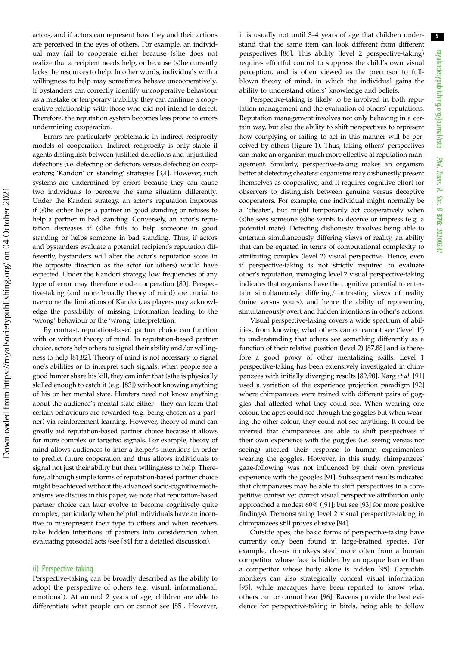actors, and if actors can represent how they and their actions are perceived in the eyes of others. For example, an individual may fail to cooperate either because (s)he does not realize that a recipient needs help, or because (s)he currently lacks the resources to help. In other words, individuals with a willingness to help may sometimes behave uncooperatively. If bystanders can correctly identify uncooperative behaviour as a mistake or temporary inability, they can continue a cooperative relationship with those who did not intend to defect. Therefore, the reputation system becomes less prone to errors undermining cooperation.

Errors are particularly problematic in indirect reciprocity models of cooperation. Indirect reciprocity is only stable if agents distinguish between justified defections and unjustified defections (i.e. defecting on defectors versus defecting on cooperators; 'Kandori' or 'standing' strategies [[3,4\]](#page-7-0). However, such systems are undermined by errors because they can cause two individuals to perceive the same situation differently. Under the Kandori strategy, an actor's reputation improves if (s)he either helps a partner in good standing or refuses to help a partner in bad standing. Conversely, an actor's reputation decreases if (s)he fails to help someone in good standing or helps someone in bad standing. Thus, if actors and bystanders evaluate a potential recipient's reputation differently, bystanders will alter the actor's reputation score in the opposite direction as the actor (or others) would have expected. Under the Kandori strategy, low frequencies of any type of error may therefore erode cooperation [\[80](#page-9-0)]. Perspective-taking (and more broadly theory of mind) are crucial to overcome the limitations of Kandori, as players may acknowledge the possibility of missing information leading to the 'wrong' behaviour or the 'wrong' interpretation.

By contrast, reputation-based partner choice can function with or without theory of mind. In reputation-based partner choice, actors help others to signal their ability and/or willingness to help [\[81,82](#page-9-0)]. Theory of mind is not necessary to signal one's abilities or to interpret such signals: when people see a good hunter share his kill, they can infer that (s)he is physically skilled enough to catch it (e.g. [\[83](#page-9-0)]) without knowing anything of his or her mental state. Hunters need not know anything about the audience's mental state either—they can learn that certain behaviours are rewarded (e.g. being chosen as a partner) via reinforcement learning. However, theory of mind can greatly aid reputation-based partner choice because it allows for more complex or targeted signals. For example, theory of mind allows audiences to infer a helper's intentions in order to predict future cooperation and thus allows individuals to signal not just their ability but their willingness to help. Therefore, although simple forms of reputation-based partner choice might be achieved without the advanced socio-cognitive mechanisms we discuss in this paper, we note that reputation-based partner choice can later evolve to become cognitively quite complex, particularly when helpful individuals have an incentive to misrepresent their type to others and when receivers take hidden intentions of partners into consideration when evaluating prosocial acts (see [[84\]](#page-9-0) for a detailed discussion).

#### (i) Perspective-taking

Perspective-taking can be broadly described as the ability to adopt the perspective of others (e.g. visual, informational, emotional). At around 2 years of age, children are able to differentiate what people can or cannot see [[85\]](#page-9-0). However, it is usually not until 3–4 years of age that children understand that the same item can look different from different perspectives [[86\]](#page-9-0). This ability (level 2 perspective-taking) requires effortful control to suppress the child's own visual perception, and is often viewed as the precursor to fullblown theory of mind, in which the individual gains the ability to understand others' knowledge and beliefs.

Perspective-taking is likely to be involved in both reputation management and the evaluation of others' reputations. Reputation management involves not only behaving in a certain way, but also the ability to shift perspectives to represent how complying or failing to act in this manner will be perceived by others ([figure 1](#page-2-0)). Thus, taking others' perspectives can make an organism much more effective at reputation management. Similarly, perspective-taking makes an organism better at detecting cheaters: organisms may dishonestly present themselves as cooperative, and it requires cognitive effort for observers to distinguish between genuine versus deceptive cooperators. For example, one individual might normally be a 'cheater', but might temporarily act cooperatively when (s)he sees someone (s)he wants to deceive or impress (e.g. a potential mate). Detecting dishonesty involves being able to entertain simultaneously differing views of reality, an ability that can be equated in terms of computational complexity to attributing complex (level 2) visual perspective. Hence, even if perspective-taking is not strictly required to evaluate other's reputation, managing level 2 visual perspective-taking indicates that organisms have the cognitive potential to entertain simultaneously differing/contrasting views of reality (mine versus yours), and hence the ability of representing simultaneously overt and hidden intentions in other's actions.

Visual perspective-taking covers a wide spectrum of abilities, from knowing what others can or cannot see ('level 1') to understanding that others see something differently as a function of their relative position (level 2) [[87,88\]](#page-9-0) and is therefore a good proxy of other mentalizing skills. Level 1 perspective-taking has been extensively investigated in chimpanzees with initially diverging results [\[89,90\]](#page-9-0). Karg et al. [\[91\]](#page-9-0) used a variation of the experience projection paradigm [\[92\]](#page-9-0) where chimpanzees were trained with different pairs of goggles that affected what they could see. When wearing one colour, the apes could see through the goggles but when wearing the other colour, they could not see anything. It could be inferred that chimpanzees are able to shift perspectives if their own experience with the goggles (i.e. seeing versus not seeing) affected their response to human experimenters wearing the goggles. However, in this study, chimpanzees' gaze-following was not influenced by their own previous experience with the googles [\[91](#page-9-0)]. Subsequent results indicated that chimpanzees may be able to shift perspectives in a competitive context yet correct visual perspective attribution only approached a modest 60% ([[91](#page-9-0)]; but see [[93\]](#page-9-0) for more positive findings). Demonstrating level 2 visual perspective-taking in chimpanzees still proves elusive [[94\]](#page-9-0).

Outside apes, the basic forms of perspective-taking have currently only been found in large-brained species. For example, rhesus monkeys steal more often from a human competitor whose face is hidden by an opaque barrier than a competitor whose body alone is hidden [[95\]](#page-9-0). Capuchin monkeys can also strategically conceal visual information [[95\]](#page-9-0), while macaques have been reported to know what others can or cannot hear [[96\]](#page-9-0). Ravens provide the best evidence for perspective-taking in birds, being able to follow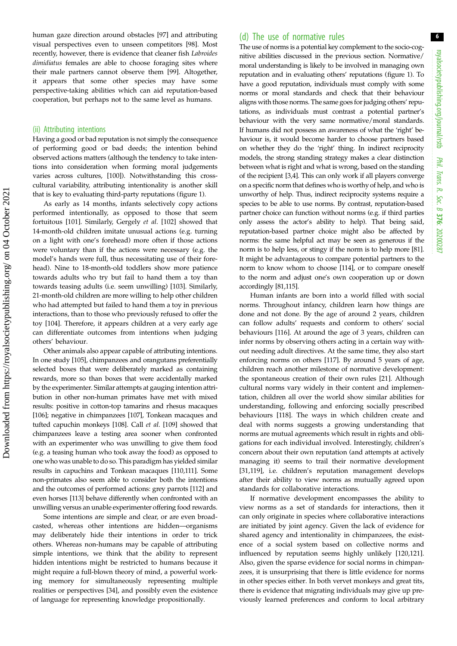6

human gaze direction around obstacles [[97\]](#page-9-0) and attributing visual perspectives even to unseen competitors [\[98](#page-9-0)]. Most recently, however, there is evidence that cleaner fish Labroides dimidiatus females are able to choose foraging sites where their male partners cannot observe them [[99\]](#page-9-0). Altogether, it appears that some other species may have some perspective-taking abilities which can aid reputation-based cooperation, but perhaps not to the same level as humans.

#### (ii) Attributing intentions

Having a good or bad reputation is not simply the consequence of performing good or bad deeds; the intention behind observed actions matters (although the tendency to take intentions into consideration when forming moral judgements varies across cultures, [\[100\]](#page-9-0)). Notwithstanding this crosscultural variability, attributing intentionality is another skill that is key to evaluating third-party reputations [\(figure 1](#page-2-0)).

As early as 14 months, infants selectively copy actions performed intentionally, as opposed to those that seem fortuitous [\[101\]](#page-9-0). Similarly, Gergely et al. [\[102\]](#page-9-0) showed that 14-month-old children imitate unusual actions (e.g. turning on a light with one's forehead) more often if those actions were voluntary than if the actions were necessary (e.g. the model's hands were full, thus necessitating use of their forehead). Nine to 18-month-old toddlers show more patience towards adults who try but fail to hand them a toy than towards teasing adults (i.e. seem unwilling) [[103](#page-9-0)]. Similarly, 21-month-old children are more willing to help other children who had attempted but failed to hand them a toy in previous interactions, than to those who previously refused to offer the toy [[104](#page-9-0)]. Therefore, it appears children at a very early age can differentiate outcomes from intentions when judging others' behaviour.

Other animals also appear capable of attributing intentions. In one study [\[105](#page-9-0)], chimpanzees and orangutans preferentially selected boxes that were deliberately marked as containing rewards, more so than boxes that were accidentally marked by the experimenter. Similar attempts at gauging intention attribution in other non-human primates have met with mixed results: positive in cotton-top tamarins and rhesus macaques [\[106\]](#page-9-0); negative in chimpanzees [\[107](#page-10-0)], Tonkean macaques and tufted capuchin monkeys [\[108](#page-10-0)]. Call et al. [\[109](#page-10-0)] showed that chimpanzees leave a testing area sooner when confronted with an experimenter who was unwilling to give them food (e.g. a teasing human who took away the food) as opposed to one who was unable to do so. This paradigm has yielded similar results in capuchins and Tonkean macaques [\[110,111](#page-10-0)]. Some non-primates also seem able to consider both the intentions and the outcomes of performed actions: grey parrots [[112](#page-10-0)] and even horses [[113](#page-10-0)] behave differently when confronted with an unwilling versus an unable experimenter offering food rewards.

Some intentions are simple and clear, or are even broadcasted, whereas other intentions are hidden—organisms may deliberately hide their intentions in order to trick others. Whereas non-humans may be capable of attributing simple intentions, we think that the ability to represent hidden intentions might be restricted to humans because it might require a full-blown theory of mind, a powerful working memory for simultaneously representing multiple realities or perspectives [\[34](#page-8-0)], and possibly even the existence of language for representing knowledge propositionally.

#### (d) The use of normative rules

The use of norms is a potential key complement to the socio-cognitive abilities discussed in the previous section. Normative/ moral understanding is likely to be involved in managing own reputation and in evaluating others' reputations [\(figure 1\)](#page-2-0). To have a good reputation, individuals must comply with some norms or moral standards and check that their behaviour aligns with those norms. The same goes for judging others' reputations, as individuals must contrast a potential partner's behaviour with the very same normative/moral standards. If humans did not possess an awareness of what the 'right' behaviour is, it would become harder to choose partners based on whether they do the 'right' thing. In indirect reciprocity models, the strong standing strategy makes a clear distinction between what is right and what is wrong, based on the standing of the recipient [[3,4](#page-7-0)]. This can only work if all players converge on a specific norm that defines who is worthy of help, and who is unworthy of help. Thus, indirect reciprocity systems require a species to be able to use norms. By contrast, reputation-based partner choice can function without norms (e.g. if third parties only assess the actor's ability to help). That being said, reputation-based partner choice might also be affected by norms: the same helpful act may be seen as generous if the norm is to help less, or stingy if the norm is to help more [\[81\]](#page-9-0). It might be advantageous to compare potential partners to the norm to know whom to choose [\[114\]](#page-10-0), or to compare oneself to the norm and adjust one's own cooperation up or down accordingly [\[81](#page-9-0)[,115\]](#page-10-0).

Human infants are born into a world filled with social norms. Throughout infancy, children learn how things are done and not done. By the age of around 2 years, children can follow adults' requests and conform to others' social behaviours [\[116](#page-10-0)]. At around the age of 3 years, children can infer norms by observing others acting in a certain way without needing adult directives. At the same time, they also start enforcing norms on others [\[117\]](#page-10-0). By around 5 years of age, children reach another milestone of normative development: the spontaneous creation of their own rules [[21\]](#page-8-0). Although cultural norms vary widely in their content and implementation, children all over the world show similar abilities for understanding, following and enforcing socially prescribed behaviours [\[118](#page-10-0)]. The ways in which children create and deal with norms suggests a growing understanding that norms are mutual agreements which result in rights and obligations for each individual involved. Interestingly, children's concern about their own reputation (and attempts at actively managing it) seems to trail their normative development [[31,](#page-8-0)[119](#page-10-0)], i.e. children's reputation management develops after their ability to view norms as mutually agreed upon standards for collaborative interactions.

If normative development encompasses the ability to view norms as a set of standards for interactions, then it can only originate in species where collaborative interactions are initiated by joint agency. Given the lack of evidence for shared agency and intentionality in chimpanzees, the existence of a social system based on collective norms and influenced by reputation seems highly unlikely [\[120,121\]](#page-10-0). Also, given the sparse evidence for social norms in chimpanzees, it is unsurprising that there is little evidence for norms in other species either. In both vervet monkeys and great tits, there is evidence that migrating individuals may give up previously learned preferences and conform to local arbitrary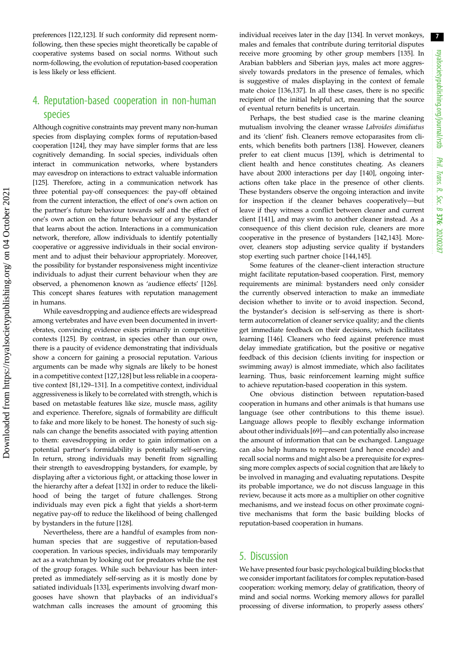preferences [\[122](#page-10-0),[123](#page-10-0)]. If such conformity did represent normfollowing, then these species might theoretically be capable of cooperative systems based on social norms. Without such norm-following, the evolution of reputation-based cooperation is less likely or less efficient.

## 4. Reputation-based cooperation in non-human species

Although cognitive constraints may prevent many non-human species from displaying complex forms of reputation-based cooperation [\[124\]](#page-10-0), they may have simpler forms that are less cognitively demanding. In social species, individuals often interact in communication networks, where bystanders may eavesdrop on interactions to extract valuable information [\[125\]](#page-10-0). Therefore, acting in a communication network has three potential pay-off consequences: the pay-off obtained from the current interaction, the effect of one's own action on the partner's future behaviour towards self and the effect of one's own action on the future behaviour of any bystander that learns about the action. Interactions in a communication network, therefore, allow individuals to identify potentially cooperative or aggressive individuals in their social environment and to adjust their behaviour appropriately. Moreover, the possibility for bystander responsiveness might incentivize individuals to adjust their current behaviour when they are observed, a phenomenon known as 'audience effects' [\[126](#page-10-0)]. This concept shares features with reputation management in humans.

While eavesdropping and audience effects are widespread among vertebrates and have even been documented in invertebrates, convincing evidence exists primarily in competitive contexts [[125](#page-10-0)]. By contrast, in species other than our own, there is a paucity of evidence demonstrating that individuals show a concern for gaining a prosocial reputation. Various arguments can be made why signals are likely to be honest in a competitive context [\[127,128](#page-10-0)] but less reliable in a cooperative context [\[81,](#page-9-0)[129](#page-10-0)–[131](#page-10-0)]. In a competitive context, individual aggressiveness is likely to be correlated with strength, which is based on metastable features like size, muscle mass, agility and experience. Therefore, signals of formability are difficult to fake and more likely to be honest. The honesty of such signals can change the benefits associated with paying attention to them: eavesdropping in order to gain information on a potential partner's formidability is potentially self-serving. In return, strong individuals may benefit from signalling their strength to eavesdropping bystanders, for example, by displaying after a victorious fight, or attacking those lower in the hierarchy after a defeat [[132](#page-10-0)] in order to reduce the likelihood of being the target of future challenges. Strong individuals may even pick a fight that yields a short-term negative pay-off to reduce the likelihood of being challenged by bystanders in the future [[128](#page-10-0)].

Nevertheless, there are a handful of examples from nonhuman species that are suggestive of reputation-based cooperation. In various species, individuals may temporarily act as a watchman by looking out for predators while the rest of the group forages. While such behaviour has been interpreted as immediately self-serving as it is mostly done by satiated individuals [\[133\]](#page-10-0), experiments involving dwarf mongooses have shown that playbacks of an individual's watchman calls increases the amount of grooming this individual receives later in the day [[134](#page-10-0)]. In vervet monkeys, males and females that contribute during territorial disputes receive more grooming by other group members [[135](#page-10-0)]. In Arabian babblers and Siberian jays, males act more aggressively towards predators in the presence of females, which is suggestive of males displaying in the context of female mate choice [\[136,137\]](#page-10-0). In all these cases, there is no specific recipient of the initial helpful act, meaning that the source of eventual return benefits is uncertain.

Perhaps, the best studied case is the marine cleaning mutualism involving the cleaner wrasse Labroides dimidiatus and its 'client' fish. Cleaners remove ectoparasites from clients, which benefits both partners [\[138\]](#page-10-0). However, cleaners prefer to eat client mucus [[139](#page-10-0)], which is detrimental to client health and hence constitutes cheating. As cleaners have about 2000 interactions per day [\[140\]](#page-10-0), ongoing interactions often take place in the presence of other clients. These bystanders observe the ongoing interaction and invite for inspection if the cleaner behaves cooperatively—but leave if they witness a conflict between cleaner and current client [[141](#page-10-0)], and may swim to another cleaner instead. As a consequence of this client decision rule, cleaners are more cooperative in the presence of bystanders [\[142,143\]](#page-10-0). Moreover, cleaners stop adjusting service quality if bystanders stop exerting such partner choice [[144](#page-10-0),[145](#page-10-0)].

Some features of the cleaner–client interaction structure might facilitate reputation-based cooperation. First, memory requirements are minimal: bystanders need only consider the currently observed interaction to make an immediate decision whether to invite or to avoid inspection. Second, the bystander's decision is self-serving as there is shortterm autocorrelation of cleaner service quality; and the clients get immediate feedback on their decisions, which facilitates learning [\[146](#page-10-0)]. Cleaners who feed against preference must delay immediate gratification, but the positive or negative feedback of this decision (clients inviting for inspection or swimming away) is almost immediate, which also facilitates learning. Thus, basic reinforcement learning might suffice to achieve reputation-based cooperation in this system.

One obvious distinction between reputation-based cooperation in humans and other animals is that humans use language (see other contributions to this theme issue). Language allows people to flexibly exchange information about other individuals [\[69](#page-9-0)]—and can potentially also increase the amount of information that can be exchanged. Language can also help humans to represent (and hence encode) and recall social norms and might also be a prerequisite for expressing more complex aspects of social cognition that are likely to be involved in managing and evaluating reputations. Despite its probable importance, we do not discuss language in this review, because it acts more as a multiplier on other cognitive mechanisms, and we instead focus on other proximate cognitive mechanisms that form the basic building blocks of reputation-based cooperation in humans.

### 5. Discussion

We have presented four basic psychological building blocks that we consider important facilitators for complex reputation-based cooperation: working memory, delay of gratification, theory of mind and social norms. Working memory allows for parallel processing of diverse information, to properly assess others'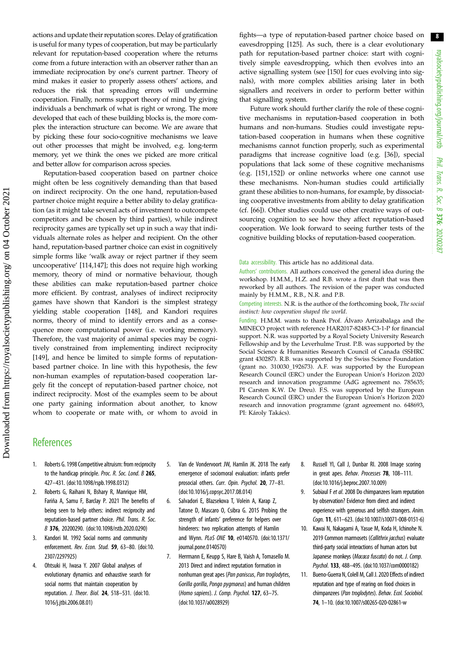<span id="page-7-0"></span>actions and update their reputation scores. Delay of gratification is useful for many types of cooperation, but may be particularly relevant for reputation-based cooperation where the returns come from a future interaction with an observer rather than an immediate reciprocation by one's current partner. Theory of mind makes it easier to properly assess others' actions, and reduces the risk that spreading errors will undermine cooperation. Finally, norms support theory of mind by giving individuals a benchmark of what is right or wrong. The more developed that each of these building blocks is, the more complex the interaction structure can become. We are aware that by picking these four socio-cognitive mechanisms we leave out other processes that might be involved, e.g. long-term memory, yet we think the ones we picked are more critical and better allow for comparison across species.

Reputation-based cooperation based on partner choice might often be less cognitively demanding than that based on indirect reciprocity. On the one hand, reputation-based partner choice might require a better ability to delay gratification (as it might take several acts of investment to outcompete competitors and be chosen by third parties), while indirect reciprocity games are typically set up in such a way that individuals alternate roles as helper and recipient. On the other hand, reputation-based partner choice can exist in cognitively simple forms like 'walk away or reject partner if they seem uncooperative' [[114,147](#page-10-0)]; this does not require high working memory, theory of mind or normative behaviour, though these abilities can make reputation-based partner choice more efficient. By contrast, analyses of indirect reciprocity games have shown that Kandori is the simplest strategy yielding stable cooperation [\[148\]](#page-10-0), and Kandori requires norms, theory of mind to identify errors and as a consequence more computational power (i.e. working memory). Therefore, the vast majority of animal species may be cognitively constrained from implementing indirect reciprocity [\[149\]](#page-10-0), and hence be limited to simple forms of reputationbased partner choice. In line with this hypothesis, the few non-human examples of reputation-based cooperation largely fit the concept of reputation-based partner choice, not indirect reciprocity. Most of the examples seem to be about one party gaining information about another, to know whom to cooperate or mate with, or whom to avoid in fights—a type of reputation-based partner choice based on eavesdropping [[125](#page-10-0)]. As such, there is a clear evolutionary path for reputation-based partner choice: start with cognitively simple eavesdropping, which then evolves into an active signalling system (see [[150](#page-10-0)] for cues evolving into signals), with more complex abilities arising later in both signallers and receivers in order to perform better within that signalling system.

Future work should further clarify the role of these cognitive mechanisms in reputation-based cooperation in both humans and non-humans. Studies could investigate reputation-based cooperation in humans when these cognitive mechanisms cannot function properly, such as experimental paradigms that increase cognitive load (e.g. [[36\]](#page-8-0)), special populations that lack some of these cognitive mechanisms (e.g. [\[151,152](#page-10-0)]) or online networks where one cannot use these mechanisms. Non-human studies could artificially grant these abilities to non-humans, for example, by dissociating cooperative investments from ability to delay gratification (cf. [[66\]](#page-9-0)). Other studies could use other creative ways of outsourcing cognition to see how they affect reputation-based cooperation. We look forward to seeing further tests of the cognitive building blocks of reputation-based cooperation.

Data accessibility. This article has no additional data.

Authors' contributions. All authors conceived the general idea during the workshop. H.M.M., H.Z. and R.B. wrote a first draft that was then reworked by all authors. The revision of the paper was conducted mainly by H.M.M., R.B., N.R. and P.B.

Competing interests. N.R. is the author of the forthcoming book, The social instinct: how cooperation shaped the world.

Funding. H.M.M. wants to thank Prof. Álvaro Arrizabalaga and the MINECO project with reference HAR2017-82483-C3-1-P for financial support. N.R. was supported by a Royal Society University Research Fellowship and by the Leverhulme Trust. P.B. was supported by the Social Science & Humanities Research Council of Canada (SSHRC grant 430287). R.B. was supported by the Swiss Science Foundation (grant no. 310030\_192673). A.F. was supported by the European Research Council (ERC) under the European Union's Horizon 2020 research and innovation programme (AdG agreement no. 785635; PI Carsten K.W. De Dreu). F.S. was supported by the European Research Council (ERC) under the European Union's Horizon 2020 research and innovation programme (grant agreement no. 648693, PI: Károly Takács).

## **References**

- 1. Roberts G. 1998 Competitive altruism: from reciprocity to the handicap principle. Proc. R. Soc. Lond. B 265, 427–431. [\(doi:10.1098/rspb.1998.0312\)](http://dx.doi.org/10.1098/rspb.1998.0312)
- 2. Roberts G, Raihani N, Bshary R, Manrique HM, Fariña A, Samu F, Barclay P. 2021 The benefits of being seen to help others: indirect reciprocity and reputation-based partner choice. Phil. Trans. R. Soc. B 376, 20200290. ([doi:10.1098/rstb.2020.0290\)](http://dx.doi.org/10.1098/rstb.2020.0290)
- Kandori M. 1992 Social norms and community enforcement. Rev. Econ. Stud. 59, 63-80. [\(doi:10.](http://dx.doi.org/10.2307/2297925) [2307/2297925\)](http://dx.doi.org/10.2307/2297925)
- 4. Ohtsuki H, Iwasa Y. 2007 Global analyses of evolutionary dynamics and exhaustive search for social norms that maintain cooperation by reputation. J. Theor. Biol. 24, 518–531. [\(doi:10.](http://dx.doi.org/10.1016/j.jtbi.2006.08.01) [1016/j.jtbi.2006.08.01\)](http://dx.doi.org/10.1016/j.jtbi.2006.08.01)
- 5. Van de Vondervoort JW, Hamlin JK. 2018 The early emergence of sociomoral evaluation: infants prefer prosocial others. Curr. Opin. Psychol. 20, 77–81. [\(doi:10.1016/j.copsyc.2017.08.014](http://dx.doi.org/10.1016/j.copsyc.2017.08.014))
- 6. Salvadori E, Blazsekova T, Volein A, Karap Z, Tatone D, Mascaro O, Csibra G. 2015 Probing the strength of infants' preference for helpers over hinderers: two replication attempts of Hamlin and Wynn. PLoS ONE 10, e0140570. [\(doi:10.1371/](http://dx.doi.org/10.1371/journal.pone.0140570) [journal.pone.0140570\)](http://dx.doi.org/10.1371/journal.pone.0140570)
- 7. Herrmann E, Keupp S, Hare B, Vaish A, Tomasello M. 2013 Direct and indirect reputation formation in nonhuman great apes (Pan paniscus, Pan troglodytes, Gorilla gorilla, Pongo pygmaeus) and human children (Homo sapiens). J. Comp. Psychol. 127, 63–75. [\(doi:10.1037/a0028929\)](http://dx.doi.org/10.1037/a0028929)
- 8. Russell YI, Call J, Dunbar RI. 2008 Image scoring in great apes. Behav. Processes 78, 108–111. ([doi:10.1016/j.beproc.2007.10.009\)](http://dx.doi.org/10.1016/j.beproc.2007.10.009)
- 9. Subiaul F et al. 2008 Do chimpanzees learn reputation by observation? Evidence from direct and indirect experience with generous and selfish strangers. Anim. Cogn. 11, 611–623. ([doi:10.1007/s10071-008-0151-6](http://dx.doi.org/10.1007/s10071-008-0151-6))
- 10. Kawai N, Nakagami A, Yasue M, Koda H, Ichinohe N. 2019 Common marmosets (Callithrix jacchus) evaluate third-party social interactions of human actors but Japanese monkeys (Macaca fuscata) do not. J. Comp. Psychol. 133, 488–495. ([doi:10.1037/com0000182](http://dx.doi.org/10.1037/com0000182))
- 11. Bueno-Guerra N, Colell M, Call J. 2020 Effects of indirect reputation and type of rearing on food choices in chimpanzees (Pan troglodytes). Behav. Ecol. Sociobiol. 74, 1–10. [\(doi:10.1007/s00265-020-02861-w](http://dx.doi.org/10.1007/s00265-020-02861-w)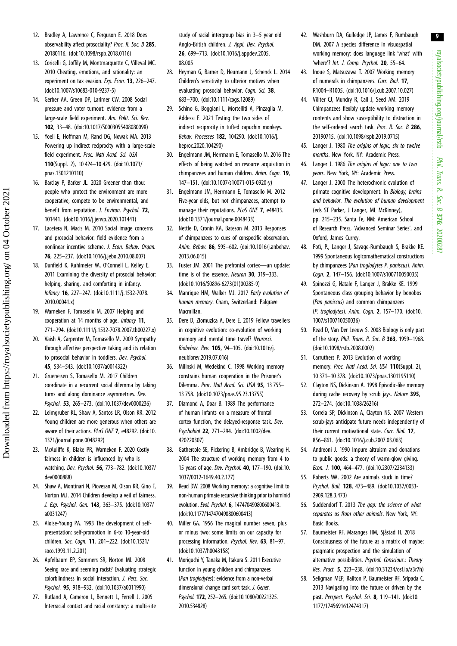royalsocietypublishing.org/journal/rstb royalsocietypublishing.org/journal/rstb Phil. Trans. R. Soc. $\sigma$ 376: 20200287

9

- <span id="page-8-0"></span>12. Bradley A, Lawrence C, Ferguson E. 2018 Does observability affect prosociality? Proc. R. Soc. B 285, 20180116. [\(doi:10.1098/rspb.2018.0116\)](http://dx.doi.org/10.1098/rspb.2018.0116)
- 13. Coricelli G, Joffily M, Montmarquette C, Villeval MC. 2010 Cheating, emotions, and rationality: an experiment on tax evasion. Exp. Econ. 13, 226-247. [\(doi:10.1007/s10683-010-9237-5\)](http://dx.doi.org/10.1007/s10683-010-9237-5)
- 14. Gerber AA, Green DP, Larimer CW. 2008 Social pressure and voter turnout: evidence from a large-scale field experiment. Am. Polit. Sci. Rev. 102, 33–48. ([doi:10.1017/S000305540808009X\)](http://dx.doi.org/10.1017/S000305540808009X)
- 15. Yoeli E, Hoffman M, Rand DG, Nowak MA. 2013 Powering up indirect reciprocity with a large-scale field experiment. Proc. Natl Acad. Sci. USA 110(Suppl. 2), 10 424–10 429. ([doi:10.1073/](http://dx.doi.org/10.1073/pnas.1301210110) [pnas.1301210110](http://dx.doi.org/10.1073/pnas.1301210110))
- 16. Barclay P, Barker JL. 2020 Greener than thou: people who protect the environment are more cooperative, compete to be environmental, and benefit from reputation. J. Environ. Psychol. 72, 101441. [\(doi:10.1016/j.jenvp.2020.101441](http://dx.doi.org/10.1016/j.jenvp.2020.101441))
- 17. Lacetera N, Macis M. 2010 Social image concerns and prosocial behavior: field evidence from a nonlinear incentive scheme. J. Econ. Behav. Organ. 76, 225–237. ([doi:10.1016/j.jebo.2010.08.007](http://dx.doi.org/10.1016/j.jebo.2010.08.007))
- 18. Dunfield K, Kuhlmeier VA, O'Connell L, Kelley E. 2011 Examining the diversity of prosocial behavior: helping, sharing, and comforting in infancy. Infancy 16, 227–247. [\(doi:10.1111/j.1532-7078.](http://dx.doi.org/10.1111/j.1532-7078.2010.00041.x) [2010.00041.x\)](http://dx.doi.org/10.1111/j.1532-7078.2010.00041.x)
- 19. Warneken F, Tomasello M. 2007 Helping and cooperation at 14 months of age. Infancy 11, 271–294. [\(doi:10.1111/j.1532-7078.2007.tb00227.x\)](http://dx.doi.org/10.1111/j.1532-7078.2007.tb00227.x)
- 20. Vaish A, Carpenter M, Tomasello M. 2009 Sympathy through affective perspective taking and its relation to prosocial behavior in toddlers. Dev. Psychol. 45, 534–543. ([doi:10.1037/a0014322](http://dx.doi.org/10.1037/a0014322))
- 21. Grueneisen S, Tomasello M. 2017 Children coordinate in a recurrent social dilemma by taking turns and along dominance asymmetries. Dev. Psychol. 53, 265–273. [\(doi:10.1037/dev0000236](http://dx.doi.org/10.1037/dev0000236))
- 22. Leimgruber KL, Shaw A, Santos LR, Olson KR. 2012 Young children are more generous when others are aware of their actions. PLoS ONE 7, e48292. ([doi:10.](http://dx.doi.org/10.1371/journal.pone.0048292) [1371/journal.pone.0048292\)](http://dx.doi.org/10.1371/journal.pone.0048292)
- 23. McAuliffe K, Blake PR, Warneken F. 2020 Costly fairness in children is influenced by who is watching. Dev. Psychol. 56, 773–782. ([doi:10.1037/](http://dx.doi.org/10.1037/dev0000888) [dev0000888\)](http://dx.doi.org/10.1037/dev0000888)
- 24. Shaw A, Montinari N, Piovesan M, Olson KR, Gino F, Norton M.I. 2014 Children develop a veil of fairness. J. Exp. Psychol. Gen. 143, 363–375. ([doi:10.1037/](http://dx.doi.org/10.1037/a0031247) [a0031247\)](http://dx.doi.org/10.1037/a0031247)
- 25. Aloise-Young PA. 1993 The development of selfpresentation: self-promotion in 6-to 10-year-old children. Soc. Cogn. 11, 201–222. ([doi:10.1521/](http://dx.doi.org/10.1521/soco.1993.11.2.201) [soco.1993.11.2.201](http://dx.doi.org/10.1521/soco.1993.11.2.201))
- 26. Apfelbaum EP, Sommers SR, Norton MI. 2008 Seeing race and seeming racist? Evaluating strategic colorblindness in social interaction. J. Pers. Soc. Psychol. 95, 918–932. [\(doi:10.1037/a0011990\)](http://dx.doi.org/10.1037/a0011990)
- 27. Rutland A, Cameron L, Bennett L, Ferrell J. 2005 Interracial contact and racial constancy: a multi-site

study of racial intergroup bias in 3–5 year old Anglo-British children. J. Appl. Dev. Psychol. 26, 699–713. ([doi:10.1016/j.appdev.2005.](http://dx.doi.org/10.1016/j.appdev.2005.08.005) [08.005](http://dx.doi.org/10.1016/j.appdev.2005.08.005)

- 28. Heyman G, Barner D, Heumann J, Schenck L. 2014 Children's sensitivity to ulterior motives when evaluating prosocial behavior. Cogn. Sci. 38, 683–700. ([doi:10.1111/cogs.12089\)](http://dx.doi.org/10.1111/cogs.12089)
- 29. Schino G, Boggiani L, Mortelliti A, Pinzaglia M, Addessi E. 2021 Testing the two sides of indirect reciprocity in tufted capuchin monkeys. Behav. Processes 182, 104290. ([doi:10.1016/j.](http://dx.doi.org/10.1016/j.beproc.2020.104290) [beproc.2020.104290](http://dx.doi.org/10.1016/j.beproc.2020.104290))
- 30. Engelmann JM, Herrmann E, Tomasello M. 2016 The effects of being watched on resource acquisition in chimpanzees and human children. Anim. Cogn. 19, 147–151. ([doi:10.1007/s10071-015-0920-y\)](http://dx.doi.org/10.1007/s10071-015-0920-y)
- 31. Engelmann JM, Herrmann E, Tomasello M. 2012 Five-year olds, but not chimpanzees, attempt to manage their reputations. PLoS ONE 7, e48433. [\(doi:10.1371/journal.pone.0048433\)](http://dx.doi.org/10.1371/journal.pone.0048433)
- 32. Nettle D, Cronin KA, Bateson M. 2013 Responses of chimpanzees to cues of conspecific observation. Anim. Behav. 86, 595–602. [\(doi:10.1016/j.anbehav.](http://dx.doi.org/10.1016/j.anbehav.2013.06.015) [2013.06.015\)](http://dx.doi.org/10.1016/j.anbehav.2013.06.015)
- 33. Fuster JM. 2001 The prefrontal cortex—an update: time is of the essence. Neuron 30, 319-333. [\(doi:10.1016/S0896-6273\(01\)00285-9](http://dx.doi.org/10.1016/S0896-6273(01)00285-9))
- 34. Manrique HM, Walker MJ, 2017 Early evolution of human memory. Cham, Switzerland: Palgrave Macmillan.
- 35. Dere D, Zlomuzica A, Dere E. 2019 Fellow travellers in cognitive evolution: co-evolution of working memory and mental time travel? Neurosci. Biobehav. Rev. 105, 94–105. [\(doi:10.1016/j.](http://dx.doi.org/10.1016/j.neubiorev.2019.07.016) [neubiorev.2019.07.016](http://dx.doi.org/10.1016/j.neubiorev.2019.07.016))
- 36. Milinski M, Wedekind C. 1998 Working memory constrains human cooperation in the Prisoner's Dilemma. Proc. Natl Acad. Sci. USA 95, 13 755– 13 758. [\(doi:10.1073/pnas.95.23.13755](http://dx.doi.org/10.1073/pnas.95.23.13755))
- 37. Diamond A, Doar B. 1989 The performance of human infants on a measure of frontal cortex function, the delayed-response task. Dev. Psychobiol 22, 271–294. ([doi:10.1002/dev.](http://dx.doi.org/10.1002/dev.420220307) [420220307](http://dx.doi.org/10.1002/dev.420220307))
- 38. Gathercole SE, Pickering B, Ambridge B, Wearing H. 2004 The structure of working memory from 4 to 15 years of age. Dev. Psychol. 40, 177–190. [\(doi:10.](http://dx.doi.org/10.1037/0012-1649.40.2.177) [1037/0012-1649.40.2.177\)](http://dx.doi.org/10.1037/0012-1649.40.2.177)
- 39. Read DW. 2008 Working memory: a cognitive limit to non-human primate recursive thinking prior to hominid evolution. Evol. Psychol. 6, 147470490800600413. [\(doi:10.1177/147470490800600413\)](http://dx.doi.org/10.1177/147470490800600413)
- 40. Miller GA. 1956 The magical number seven, plus or minus two: some limits on our capacity for processing information. Psychol. Rev. 63, 81–97. [\(doi:10.1037/h0043158\)](http://dx.doi.org/10.1037/h0043158)
- 41. Moriguchi Y, Tanaka M, Itakura S. 2011 Executive function in young children and chimpanzees (Pan troglodytes): evidence from a non-verbal dimensional change card sort task. J. Genet. Psychol. 172, 252–265. ([doi:10.1080/00221325.](http://dx.doi.org/10.1080/00221325.2010.534828) [2010.534828](http://dx.doi.org/10.1080/00221325.2010.534828))
- 42. Washburn DA, Gulledge JP, James F, Rumbaugh DM. 2007 A species difference in visuospatial working memory: does language link 'what' with 'where'? Int. J. Comp. Psychol. 20, 55-64.
- 43. Inoue S, Matsuzawa T. 2007 Working memory of numerals in chimpanzees. Curr. Biol. 17, R1004–R1005. [\(doi:10.1016/j.cub.2007.10.027](http://dx.doi.org/10.1016/j.cub.2007.10.027))
- 44. Völter CJ, Mundry R, Call J, Seed AM. 2019 Chimpanzees flexibly update working memory contents and show susceptibility to distraction in the self-ordered search task. Proc. R. Soc. B 286, 20190715. ([doi:10.1098/rspb.2019.0715](http://dx.doi.org/10.1098/rspb.2019.0715))
- 45. Langer J. 1980 The origins of logic, six to twelve months. New York, NY: Academic Press.
- 46. Langer J. 1986 The origins of logic: one to two years. New York, NY: Academic Press.
- 47. Langer J. 2000 The heterochronic evolution of primate cognitive development. In Biology, brains and behavior. The evolution of human development (eds ST Parker, J Langer, ML McKinney), pp. 215–235. Santa Fe, NM: American School of Research Press, 'Advanced Seminar Series', and Oxford, James Currey.
- 48. Potì, P., Langer J, Savage-Rumbaugh S, Brakke KE. 1999 Spontaneous logicomathematical constructions by chimpanzees (Pan troglodytes P. paniscus). Anim. Cogn. 2, 147–156. ([doi:10.1007/s100710050035](http://dx.doi.org/10.1007/s100710050035))
- 49. Spinozzi G, Natale F, Langer J, Brakke KE. 1999 Spontaneous class grouping behavior by bonobos (Pan paniscus) and common chimpanzees (P. troglodytes). Anim. Cogn. 2, 157–170. [\(doi:10.](http://dx.doi.org/10.1007/s100710050036) [1007/s100710050036\)](http://dx.doi.org/10.1007/s100710050036)
- 50. Read D, Van Der Leeuw S. 2008 Biology is only part of the story. Phil. Trans. R. Soc. B 363, 1959–1968. ([doi:10.1098/rstb.2008.0002](http://dx.doi.org/10.1098/rstb.2008.0002))
- 51. Carruthers P. 2013 Evolution of working memory. Proc. Natl Acad. Sci. USA 110(Suppl. 2), 10 371–10 378. [\(doi:10.1073/pnas.1301195110](http://dx.doi.org/10.1073/pnas.1301195110))
- 52. Clayton NS, Dickinson A. 1998 Episodic-like memory during cache recovery by scrub jays. Nature 395, 272–274. [\(doi:10.1038/26216\)](http://dx.doi.org/10.1038/26216)
- 53. Correia SP, Dickinson A, Clayton NS. 2007 Western scrub-jays anticipate future needs independently of their current motivational state. Curr. Biol. 17, 856–861. [\(doi:10.1016/j.cub.2007.03.063](http://dx.doi.org/10.1016/j.cub.2007.03.063))
- 54. Andreoni J. 1990 Impure altruism and donations to public goods: a theory of warm-glow giving. Econ. J. 100, 464–477. [\(doi:10.2307/2234133](http://dx.doi.org/10.2307/2234133))
- 55. Roberts WA. 2002 Are animals stuck in time? Psychol. Bull. 128, 473–489. ([doi:10.1037/0033-](http://dx.doi.org/10.1037/0033-2909.128.3.473) [2909.128.3.473\)](http://dx.doi.org/10.1037/0033-2909.128.3.473)
- 56. Suddendorf T. 2013 The gap: the science of what separates us from other animals. New York, NY: Basic Books.
- 57. Baumeister RF, Maranges HM, Sjåstad H. 2018 Consciousness of the future as a matrix of maybe: pragmatic prospection and the simulation of alternative possibilities. Psychol. Conscious.: Theory Res. Pract. 5, 223–238. [\(doi:10.31234/osf.io/a3r7h\)](http://dx.doi.org/10.31234/osf.io/a3r7h)
- 58. Seligman MEP, Railton P, Baumeister RF, Sripada C. 2013 Navigating into the future or driven by the past. Perspect. Psychol. Sci. 8, 119-141. ([doi:10.](http://dx.doi.org/10.1177/1745691612474317) [1177/1745691612474317\)](http://dx.doi.org/10.1177/1745691612474317)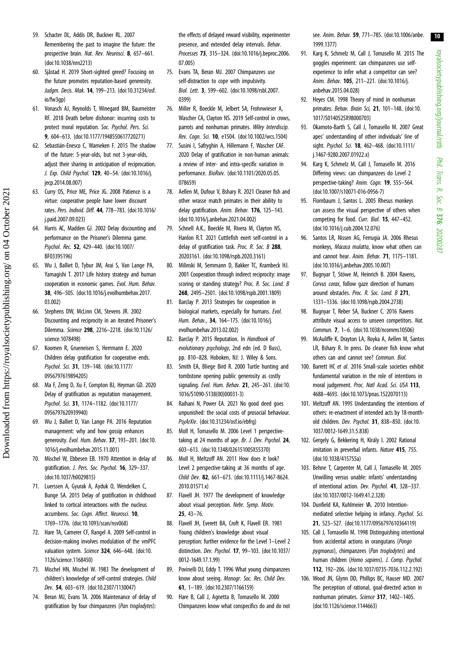- <span id="page-9-0"></span>59. Schacter DL, Addis DR, Buckner RL. 2007 Remembering the past to imagine the future: the prospective brain. Nat. Rev. Neurosci. 8, 657-661. [\(doi:10.1038/nrn2213\)](http://dx.doi.org/10.1038/nrn2213)
- 60. Sjåstad H. 2019 Short-sighted greed? Focusing on the future promotes reputation-based generosity. Judgm. Decis. Mak. 14, 199–213. ([doi:10.31234/osf.](http://dx.doi.org/10.31234/osf.io/fw3gp) [io/fw3gp](http://dx.doi.org/10.31234/osf.io/fw3gp))
- 61. Vonasch AJ, Reynolds T, Winegard BM, Baumeister RF. 2018 Death before dishonor: incurring costs to protect moral reputation. Soc. Psychol. Pers. Sci. 9, 604–613. [\(doi:10.1177/1948550617720271\)](http://dx.doi.org/10.1177/1948550617720271)
- 62. Sebastián-Enesco C, Warneken F. 2015 The shadow of the future: 5-year-olds, but not 3-year-olds, adjust their sharing in anticipation of reciprocation. J. Exp. Child Psychol. 129, 40–54. [\(doi:10.1016/j.](http://dx.doi.org/10.1016/j.jecp.2014.08.007) [jecp.2014.08.007\)](http://dx.doi.org/10.1016/j.jecp.2014.08.007)
- 63. Curry OS, Price ME, Price JG. 2008 Patience is a virtue: cooperative people have lower discount rates. Pers. Individ. Diff. 44, 778–783. ([doi:10.1016/](http://dx.doi.org/10.1016/j.paid.2007.09.023) [j.paid.2007.09.023\)](http://dx.doi.org/10.1016/j.paid.2007.09.023)
- 64. Harris AC, Madden GJ. 2002 Delay discounting and performance on the Prisoner's Dilemma game. Psychol. Rec. 52, 429–440. ([doi:10.1007/](http://dx.doi.org/10.1007/BF03395196) [BF03395196\)](http://dx.doi.org/10.1007/BF03395196)
- 65. Wu J, Balliet D, Tybur JM, Arai S, Van Lange PA, Yamagishi T. 2017 Life history strategy and human cooperation in economic games. Evol. Hum. Behav. 38, 496–505. ([doi:10.1016/j.evolhumbehav.2017.](http://dx.doi.org/10.1016/j.evolhumbehav.2017.03.002) [03.002\)](http://dx.doi.org/10.1016/j.evolhumbehav.2017.03.002)
- 66. Stephens DW, McLinn CM, Stevens JR. 2002 Discounting and reciprocity in an iterated Prisoner's Dilemma. Science 298, 2216–2218. ([doi:10.1126/](http://dx.doi.org/10.1126/science.1078498) [science.1078498\)](http://dx.doi.org/10.1126/science.1078498)
- 67. Koomen R, Grueneisen S, Herrmann E. 2020 Children delay gratification for cooperative ends. Psychol. Sci. 31, 139–148. [\(doi:10.1177/](http://dx.doi.org/10.1177/0956797619894205) [0956797619894205](http://dx.doi.org/10.1177/0956797619894205))
- 68. Ma F, Zeng D, Xu F, Compton BJ, Heyman GD. 2020 Delay of gratification as reputation management. Psychol. Sci. 31, 1174–1182. ([doi:10.1177/](http://dx.doi.org/10.1177/0956797620939940) [0956797620939940](http://dx.doi.org/10.1177/0956797620939940))
- 69. Wu J, Balliet D, Van Lange PA. 2016 Reputation management: why and how gossip enhances generosity. Evol. Hum. Behav. 37, 193–201. ([doi:10.](http://dx.doi.org/10.1016/j.evolhumbehav.2015.11.001) [1016/j.evolhumbehav.2015.11.001](http://dx.doi.org/10.1016/j.evolhumbehav.2015.11.001))
- 70. Mischel W, Ebbesen EB. 1970 Attention in delay of gratification. J. Pers. Soc. Psychol. 16, 329–337. [\(doi:10.1037/h0029815](http://dx.doi.org/10.1037/h0029815))
- 71. Luerssen A, Gyurak A, Ayduk O, Wendelken C, Bunge SA. 2015 Delay of gratification in childhood linked to cortical interactions with the nucleus accumbens. Soc. Cogn. Affect. Neurosci. 10, 1769–1776. [\(doi:10.1093/scan/nsv068\)](http://dx.doi.org/10.1093/scan/nsv068)
- 72. Hare TA, Camerer CF, Rangel A. 2009 Self-control in decision-making involves modulation of the vmPFC valuation system. Science 324, 646-648. [\(doi:10.](http://dx.doi.org/10.1126/science.1168450) [1126/science.1168450\)](http://dx.doi.org/10.1126/science.1168450)
- 73. Mischel HN, Mischel W. 1983 The development of children's knowledge of self-control strategies. Child Dev. 54, 603–619. [\(doi:10.2307/1130047\)](http://dx.doi.org/10.2307/1130047)
- 74. Beran MJ, Evans TA. 2006 Maintenance of delay of gratification by four chimpanzees (Pan troglodytes):

the effects of delayed reward visibility, experimenter presence, and extended delay intervals. Behav. Processes 73, 315–324. ([doi:10.1016/j.beproc.2006.](http://dx.doi.org/10.1016/j.beproc.2006.07.005) [07.005](http://dx.doi.org/10.1016/j.beproc.2006.07.005))

- 75. Evans TA, Beran MJ. 2007 Chimpanzees use self-distraction to cope with impulsivity. Biol. Lett. 3, 599–602. ([doi:10.1098/rsbl.2007.](http://dx.doi.org/10.1098/rsbl.2007.0399) [0399](http://dx.doi.org/10.1098/rsbl.2007.0399))
- 76. Miller R, Boeckle M, Jelbert SA, Frohnwieser A, Wascher CA, Clayton NS. 2019 Self-control in crows, parrots and nonhuman primates. Wiley Interdiscip. Rev. Cogn. Sci. 10, e1504. [\(doi:10.1002/wcs.1504](http://dx.doi.org/10.1002/wcs.1504))
- 77. Susini I, Safryghin A, Hillemann F, Wascher CAF. 2020 Delay of gratification in non-human animals: a review of inter- and intra-specific variation in performance. BioRxiv. [\(doi:10.1101/2020.05.05.](http://dx.doi.org/10.1101/2020.05.05.078659) [078659](http://dx.doi.org/10.1101/2020.05.05.078659))
- 78. Aellen M, Dufour V, Bshary R. 2021 Cleaner fish and other wrasse match primates in their ability to delay gratification. Anim. Behav. 176, 125-143. [\(doi:10.1016/j.anbehav.2021.04.002\)](http://dx.doi.org/10.1016/j.anbehav.2021.04.002)
- 79. Schnell A.K., Boeckle M, Rivera M, Clayton NS, Hanlon R.T. 2021 Cuttlefish exert self-control in a delay of gratification task. Proc. R. Soc. B 288, 20203161. ([doi:10.1098/rspb.2020.3161\)](http://dx.doi.org/10.1098/rspb.2020.3161)
- 80. Milinski M, Semmann D, Bakker TC, Krambeck HJ. 2001 Cooperation through indirect reciprocity: image scoring or standing strategy? Proc. R. Soc. Lond. B 268, 2495–2501. [\(doi:10.1098/rspb.2001.1809\)](http://dx.doi.org/10.1098/rspb.2001.1809)
- 81. Barclay P. 2013 Strategies for cooperation in biological markets, especially for humans. Evol. Hum. Behav., 34, 164–175. ([doi:10.1016/j.](http://dx.doi.org/10.1016/j.evolhumbehav.2013.02.002) [evolhumbehav.2013.02.002\)](http://dx.doi.org/10.1016/j.evolhumbehav.2013.02.002)
- 82. Barclay P. 2015 Reputation. In Handbook of evolutionary psychology, 2nd edn (ed. D Buss), pp. 810–828. Hoboken, NJ: J. Wiley & Sons.
- 83. Smith EA, Bliege Bird R. 2000 Turtle hunting and tombstone opening public generosity as costly signaling. Evol. Hum. Behav. 21, 245–261. [\(doi:10.](http://dx.doi.org/10.1016/S1090-5138(00)00031-3) [1016/S1090-5138\(00\)00031-3](http://dx.doi.org/10.1016/S1090-5138(00)00031-3))
- 84. Raihani N, Power EA. 2021 No good deed goes unpunished: the social costs of prosocial behaviour. PsyArXiv. ([doi:10.31234/osf.io/ebfrg\)](http://dx.doi.org/10.31234/osf.io/ebfrg)
- 85. Moll H, Tomasello M. 2006 Level 1 perspectivetaking at 24 months of age. Br. J. Dev. Psychol. 24, 603–613. ([doi:10.1348/026151005X55370\)](http://dx.doi.org/10.1348/026151005X55370)
- 86. Moll H, Meltzoff AN. 2011 How does it look? Level 2 perspective-taking at 36 months of age. Child Dev. 82, 661–673. ([doi:10.1111/j.1467-8624.](http://dx.doi.org/10.1111/j.1467-8624.2010.01571.x) [2010.01571.x\)](http://dx.doi.org/10.1111/j.1467-8624.2010.01571.x)
- 87. Flavell JH. 1977 The development of knowledge about visual perception. Nebr. Symp. Motiv. 25, 43–76.
- 88. Flavell JH, Everett BA, Croft K, Flavell ER. 1981 Young children's knowledge about visual perception: further evidence for the Level 1–Level 2 distinction. Dev. Psychol. 17, 99–103. [\(doi:10.1037/](http://dx.doi.org/10.1037/0012-1649.17.1.99) [0012-1649.17.1.99](http://dx.doi.org/10.1037/0012-1649.17.1.99))
- 89. Povinelli DJ, Eddy T. 1996 What young chimpanzees know about seeing. Monogr. Soc. Res. Child Dev. 61, 1–189. [\(doi:10.2307/1166159](http://dx.doi.org/10.2307/1166159))
- 90. Hare B, Call J, Agnetta B, Tomasello M. 2000 Chimpanzees know what conspecifics do and do not

see. Anim. Behav. 59, 771–785. [\(doi:10.1006/anbe.](http://dx.doi.org/10.1006/anbe.1999.1377) [1999.1377](http://dx.doi.org/10.1006/anbe.1999.1377))

- 91. Karg K, Schmelz M, Call J, Tomasello M. 2015 The goggles experiment: can chimpanzees use selfexperience to infer what a competitor can see? Anim. Behav. 105, 211–221. [\(doi:10.1016/j.](http://dx.doi.org/10.1016/j.anbehav.2015.04.028) [anbehav.2015.04.028](http://dx.doi.org/10.1016/j.anbehav.2015.04.028))
- 92. Heyes CM. 1998 Theory of mind in nonhuman primates. Behav. Brain Sci, 21, 101-148. ([doi:10.](http://dx.doi.org/10.1017/S0140525X98000703) [1017/S0140525X98000703\)](http://dx.doi.org/10.1017/S0140525X98000703)
- 93. Okamoto-Barth S, Call J, Tomasello M. 2007 Great apes' understanding of other individuals' line of sight. Psychol. Sci. 18, 462-468. ([doi:10.1111/](http://dx.doi.org/10.1111/j.1467-9280.2007.01922.x) [j.1467-9280.2007.01922.x\)](http://dx.doi.org/10.1111/j.1467-9280.2007.01922.x)
- 94. Karg K, Schmelz M, Call J, Tomasello M. 2016 Differing views: can chimpanzees do Level 2 perspective-taking? Anim. Cogn. 19, 555-564. ([doi:10.1007/s10071-016-0956-7](http://dx.doi.org/10.1007/s10071-016-0956-7))
- 95. Flombaum J, Santos L. 2005 Rhesus monkeys can assess the visual perspective of others when competing for food. Curr. Biol. 15, 447–452. ([doi:10.1016/j.cub.2004.12.076](http://dx.doi.org/10.1016/j.cub.2004.12.076))
- 96. Santos LR, Nissen AG, Ferrugia JA. 2006 Rhesus monkeys, Macaca mulatta, know what others can and cannot hear. Anim. Behav. 71, 1175–1181. ([doi:10.1016/j.anbehav.2005.10.007](http://dx.doi.org/10.1016/j.anbehav.2005.10.007))
- 97. Bugnyar T, Stöwe M, Heinrich B. 2004 Ravens, Corvus corax, follow gaze direction of humans around obstacles. Proc. R. Soc. Lond. B 271, 1331–1336. [\(doi:10.1098/rspb.2004.2738\)](http://dx.doi.org/10.1098/rspb.2004.2738)
- 98. Bugnyar T, Reber SA, Buckner C. 2016 Ravens attribute visual access to unseen competitors. Nat. Commun. 7, 1–6. ([doi:10.1038/ncomms10506](http://dx.doi.org/10.1038/ncomms10506))
- 99. McAuliffe K, Drayton LA, Royka A, Aellen M, Santos LR, Bshary R. In press. Do cleaner fish know what others can and cannot see? Commun. Biol.
- 100. Barrett HC et al. 2016 Small-scale societies exhibit fundamental variation in the role of intentions in moral judgement. Proc. Natl Acad. Sci. USA 113, 4688–4693. [\(doi:10.1073/pnas.1522070113\)](http://dx.doi.org/10.1073/pnas.1522070113)
- 101. Meltzoff AN. 1995 Understanding the intentions of others: re-enactment of intended acts by 18-monthold children. Dev. Psychol. 31, 838–850. [\(doi:10.](http://dx.doi.org/10.1037/0012-1649.31.5.838) [1037/0012-1649.31.5.838](http://dx.doi.org/10.1037/0012-1649.31.5.838))
- 102. Gergely G, Bekkering H, Király I. 2002 Rational imitation in preverbal infants. Nature 415, 755. ([doi:10.1038/415755a\)](http://dx.doi.org/10.1038/415755a)
- 103. Behne T, Carpenter M, Call J, Tomasello M. 2005 Unwilling versus unable: infants' understanding of intentional action. Dev. Psychol. 41, 328–337. ([doi:10.1037/0012-1649.41.2.328](http://dx.doi.org/10.1037/0012-1649.41.2.328))
- 104. Dunfield KA, Kuhlmeier VA. 2010 Intentionmediated selective helping in infancy. Psychol. Sci. 21, 523–527. ([doi:10.1177/0956797610364119](http://dx.doi.org/10.1177/0956797610364119))
- 105. Call J, Tomasello M. 1998 Distinguishing intentional from accidental actions in orangutans (Pongo pygmaeus), chimpanzees (Pan troglodytes) and human children (Homo sapiens). J. Comp. Psychol. 112, 192–206. [\(doi:10.1037/0735-7036.112.2.192\)](http://dx.doi.org/10.1037/0735-7036.112.2.192)
- 106. Wood JN, Glynn DD, Phillips BC, Hauser MD. 2007 The perception of rational, goal-directed action in nonhuman primates. Science 317, 1402–1405. ([doi:10.1126/science.1144663](http://dx.doi.org/10.1126/science.1144663))